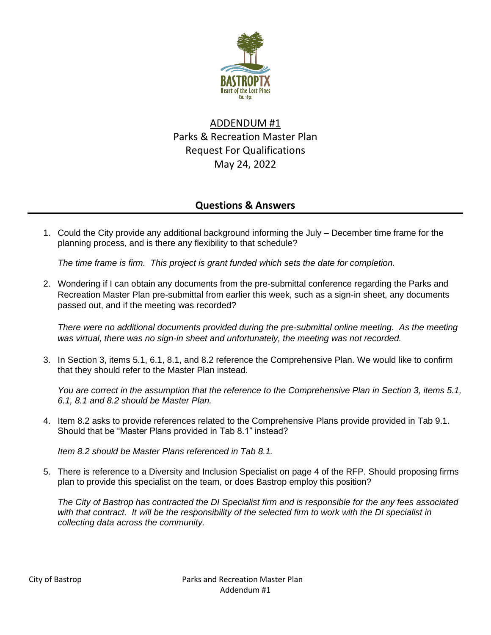

# ADDENDUM #1 Parks & Recreation Master Plan Request For Qualifications May 24, 2022

# **Questions & Answers**

1. Could the City provide any additional background informing the July – December time frame for the planning process, and is there any flexibility to that schedule?

*The time frame is firm. This project is grant funded which sets the date for completion.* 

2. Wondering if I can obtain any documents from the pre-submittal conference regarding the Parks and Recreation Master Plan pre-submittal from earlier this week, such as a sign-in sheet, any documents passed out, and if the meeting was recorded?

*There were no additional documents provided during the pre-submittal online meeting. As the meeting was virtual, there was no sign-in sheet and unfortunately, the meeting was not recorded.*

3. In Section 3, items 5.1, 6.1, 8.1, and 8.2 reference the Comprehensive Plan. We would like to confirm that they should refer to the Master Plan instead.

*You are correct in the assumption that the reference to the Comprehensive Plan in Section 3, items 5.1, 6.1, 8.1 and 8.2 should be Master Plan.*

4. Item 8.2 asks to provide references related to the Comprehensive Plans provide provided in Tab 9.1. Should that be "Master Plans provided in Tab 8.1" instead?

*Item 8.2 should be Master Plans referenced in Tab 8.1.*

5. There is reference to a Diversity and Inclusion Specialist on page 4 of the RFP. Should proposing firms plan to provide this specialist on the team, or does Bastrop employ this position?

*The City of Bastrop has contracted the DI Specialist firm and is responsible for the any fees associated*  with that contract. It will be the responsibility of the selected firm to work with the DI specialist in *collecting data across the community.*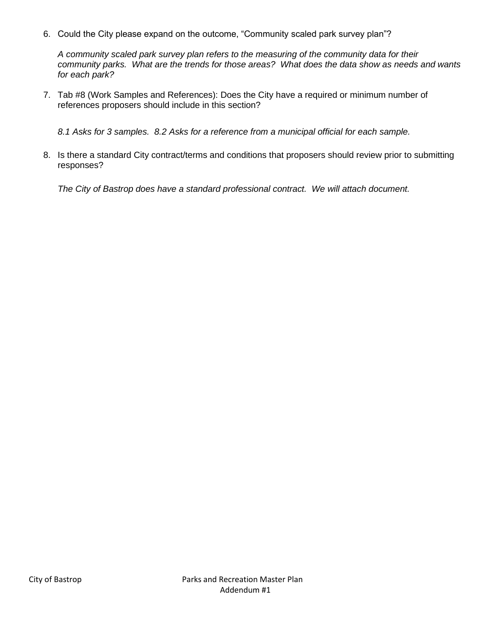6. Could the City please expand on the outcome, "Community scaled park survey plan"?

*A community scaled park survey plan refers to the measuring of the community data for their community parks. What are the trends for those areas? What does the data show as needs and wants for each park?*

7. Tab #8 (Work Samples and References): Does the City have a required or minimum number of references proposers should include in this section?

*8.1 Asks for 3 samples. 8.2 Asks for a reference from a municipal official for each sample.*

8. Is there a standard City contract/terms and conditions that proposers should review prior to submitting responses?

*The City of Bastrop does have a standard professional contract. We will attach document.*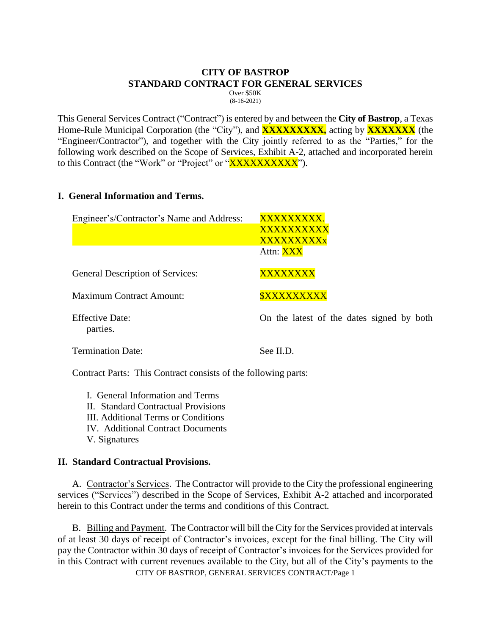## **CITY OF BASTROP STANDARD CONTRACT FOR GENERAL SERVICES**

Over \$50K (8-16-2021)

This General Services Contract ("Contract") is entered by and between the **City of Bastrop**, a Texas Home-Rule Municipal Corporation (the "City"), and **XXXXXXXXX**, acting by **XXXXXXX** (the "Engineer/Contractor"), and together with the City jointly referred to as the "Parties," for the following work described on the Scope of Services, Exhibit A-2, attached and incorporated herein to this Contract (the "Work" or "Project" or "XXXXXXXXXX").

### **I. General Information and Terms.**

| Engineer's/Contractor's Name and Address: | XXXXXXXXX.<br>XXXXXXXXX<br>XXXXXXXXX<br>Attn: XXX |
|-------------------------------------------|---------------------------------------------------|
| General Description of Services:          | XXXXXXXX                                          |
| <b>Maximum Contract Amount:</b>           | <b><i>SXXXXXXXXX</i></b>                          |
| <b>Effective Date:</b><br>parties.        | On the latest of the dates signed by both         |
| <b>Termination Date:</b>                  | See II.D.                                         |

Contract Parts: This Contract consists of the following parts:

I. General Information and Terms II. Standard Contractual Provisions III. Additional Terms or Conditions IV. Additional Contract Documents V. Signatures

#### **II. Standard Contractual Provisions.**

A. Contractor's Services. The Contractor will provide to the City the professional engineering services ("Services") described in the Scope of Services, Exhibit A-2 attached and incorporated herein to this Contract under the terms and conditions of this Contract.

CITY OF BASTROP, GENERAL SERVICES CONTRACT/Page 1 B. Billing and Payment. The Contractor will bill the City for the Services provided at intervals of at least 30 days of receipt of Contractor's invoices, except for the final billing. The City will pay the Contractor within 30 days of receipt of Contractor's invoices for the Services provided for in this Contract with current revenues available to the City, but all of the City's payments to the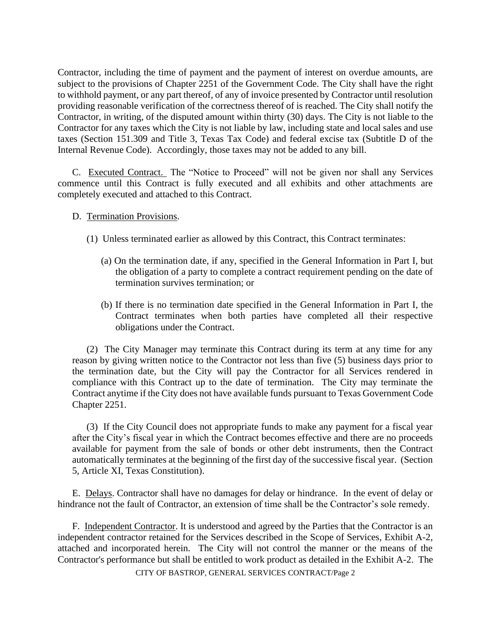Contractor, including the time of payment and the payment of interest on overdue amounts, are subject to the provisions of Chapter 2251 of the Government Code. The City shall have the right to withhold payment, or any part thereof, of any of invoice presented by Contractor until resolution providing reasonable verification of the correctness thereof of is reached. The City shall notify the Contractor, in writing, of the disputed amount within thirty (30) days. The City is not liable to the Contractor for any taxes which the City is not liable by law, including state and local sales and use taxes (Section 151.309 and Title 3, Texas Tax Code) and federal excise tax (Subtitle D of the Internal Revenue Code). Accordingly, those taxes may not be added to any bill.

C. Executed Contract. The "Notice to Proceed" will not be given nor shall any Services commence until this Contract is fully executed and all exhibits and other attachments are completely executed and attached to this Contract.

#### D. Termination Provisions.

- (1) Unless terminated earlier as allowed by this Contract, this Contract terminates:
	- (a) On the termination date, if any, specified in the General Information in Part I, but the obligation of a party to complete a contract requirement pending on the date of termination survives termination; or
	- (b) If there is no termination date specified in the General Information in Part I, the Contract terminates when both parties have completed all their respective obligations under the Contract.

(2) The City Manager may terminate this Contract during its term at any time for any reason by giving written notice to the Contractor not less than five (5) business days prior to the termination date, but the City will pay the Contractor for all Services rendered in compliance with this Contract up to the date of termination. The City may terminate the Contract anytime if the City does not have available funds pursuant to Texas Government Code Chapter 2251.

(3) If the City Council does not appropriate funds to make any payment for a fiscal year after the City's fiscal year in which the Contract becomes effective and there are no proceeds available for payment from the sale of bonds or other debt instruments, then the Contract automatically terminates at the beginning of the first day of the successive fiscal year. (Section 5, Article XI, Texas Constitution).

E. Delays. Contractor shall have no damages for delay or hindrance. In the event of delay or hindrance not the fault of Contractor, an extension of time shall be the Contractor's sole remedy.

F. Independent Contractor. It is understood and agreed by the Parties that the Contractor is an independent contractor retained for the Services described in the Scope of Services, Exhibit A-2, attached and incorporated herein. The City will not control the manner or the means of the Contractor's performance but shall be entitled to work product as detailed in the Exhibit A-2. The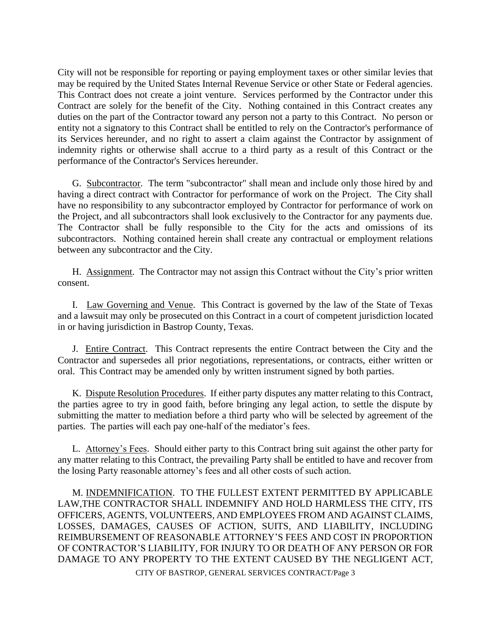City will not be responsible for reporting or paying employment taxes or other similar levies that may be required by the United States Internal Revenue Service or other State or Federal agencies. This Contract does not create a joint venture. Services performed by the Contractor under this Contract are solely for the benefit of the City. Nothing contained in this Contract creates any duties on the part of the Contractor toward any person not a party to this Contract. No person or entity not a signatory to this Contract shall be entitled to rely on the Contractor's performance of its Services hereunder, and no right to assert a claim against the Contractor by assignment of indemnity rights or otherwise shall accrue to a third party as a result of this Contract or the performance of the Contractor's Services hereunder.

G. Subcontractor. The term "subcontractor" shall mean and include only those hired by and having a direct contract with Contractor for performance of work on the Project. The City shall have no responsibility to any subcontractor employed by Contractor for performance of work on the Project, and all subcontractors shall look exclusively to the Contractor for any payments due. The Contractor shall be fully responsible to the City for the acts and omissions of its subcontractors. Nothing contained herein shall create any contractual or employment relations between any subcontractor and the City.

H. Assignment. The Contractor may not assign this Contract without the City's prior written consent.

I. Law Governing and Venue. This Contract is governed by the law of the State of Texas and a lawsuit may only be prosecuted on this Contract in a court of competent jurisdiction located in or having jurisdiction in Bastrop County, Texas.

J. Entire Contract. This Contract represents the entire Contract between the City and the Contractor and supersedes all prior negotiations, representations, or contracts, either written or oral. This Contract may be amended only by written instrument signed by both parties.

K. Dispute Resolution Procedures. If either party disputes any matter relating to this Contract, the parties agree to try in good faith, before bringing any legal action, to settle the dispute by submitting the matter to mediation before a third party who will be selected by agreement of the parties. The parties will each pay one-half of the mediator's fees.

L. Attorney's Fees. Should either party to this Contract bring suit against the other party for any matter relating to this Contract, the prevailing Party shall be entitled to have and recover from the losing Party reasonable attorney's fees and all other costs of such action.

M. INDEMNIFICATION. TO THE FULLEST EXTENT PERMITTED BY APPLICABLE LAW,THE CONTRACTOR SHALL INDEMNIFY AND HOLD HARMLESS THE CITY, ITS OFFICERS, AGENTS, VOLUNTEERS, AND EMPLOYEES FROM AND AGAINST CLAIMS, LOSSES, DAMAGES, CAUSES OF ACTION, SUITS, AND LIABILITY, INCLUDING REIMBURSEMENT OF REASONABLE ATTORNEY'S FEES AND COST IN PROPORTION OF CONTRACTOR'S LIABILITY, FOR INJURY TO OR DEATH OF ANY PERSON OR FOR DAMAGE TO ANY PROPERTY TO THE EXTENT CAUSED BY THE NEGLIGENT ACT,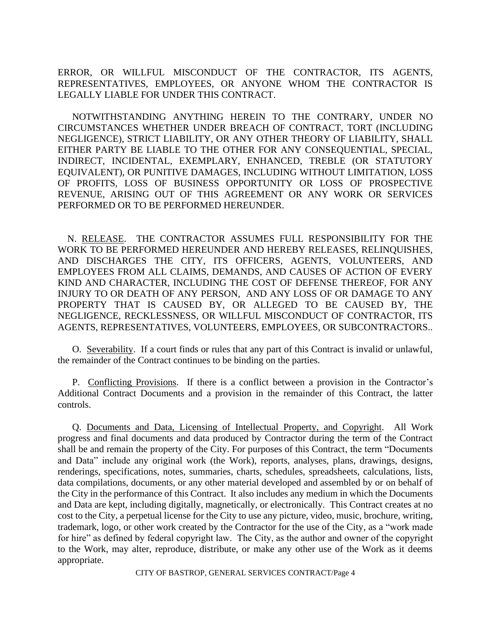ERROR, OR WILLFUL MISCONDUCT OF THE CONTRACTOR, ITS AGENTS, REPRESENTATIVES, EMPLOYEES, OR ANYONE WHOM THE CONTRACTOR IS LEGALLY LIABLE FOR UNDER THIS CONTRACT.

NOTWITHSTANDING ANYTHING HEREIN TO THE CONTRARY, UNDER NO CIRCUMSTANCES WHETHER UNDER BREACH OF CONTRACT, TORT (INCLUDING NEGLIGENCE), STRICT LIABILITY, OR ANY OTHER THEORY OF LIABILITY, SHALL EITHER PARTY BE LIABLE TO THE OTHER FOR ANY CONSEQUENTIAL, SPECIAL, INDIRECT, INCIDENTAL, EXEMPLARY, ENHANCED, TREBLE (OR STATUTORY EQUIVALENT), OR PUNITIVE DAMAGES, INCLUDING WITHOUT LIMITATION, LOSS OF PROFITS, LOSS OF BUSINESS OPPORTUNITY OR LOSS OF PROSPECTIVE REVENUE, ARISING OUT OF THIS AGREEMENT OR ANY WORK OR SERVICES PERFORMED OR TO BE PERFORMED HEREUNDER.

 N. RELEASE. THE CONTRACTOR ASSUMES FULL RESPONSIBILITY FOR THE WORK TO BE PERFORMED HEREUNDER AND HEREBY RELEASES, RELINQUISHES, AND DISCHARGES THE CITY, ITS OFFICERS, AGENTS, VOLUNTEERS, AND EMPLOYEES FROM ALL CLAIMS, DEMANDS, AND CAUSES OF ACTION OF EVERY KIND AND CHARACTER, INCLUDING THE COST OF DEFENSE THEREOF, FOR ANY INJURY TO OR DEATH OF ANY PERSON, AND ANY LOSS OF OR DAMAGE TO ANY PROPERTY THAT IS CAUSED BY, OR ALLEGED TO BE CAUSED BY, THE NEGLIGENCE, RECKLESSNESS, OR WILLFUL MISCONDUCT OF CONTRACTOR, ITS AGENTS, REPRESENTATIVES, VOLUNTEERS, EMPLOYEES, OR SUBCONTRACTORS..

O. Severability. If a court finds or rules that any part of this Contract is invalid or unlawful, the remainder of the Contract continues to be binding on the parties.

P. Conflicting Provisions. If there is a conflict between a provision in the Contractor's Additional Contract Documents and a provision in the remainder of this Contract, the latter controls.

Q. Documents and Data, Licensing of Intellectual Property, and Copyright. All Work progress and final documents and data produced by Contractor during the term of the Contract shall be and remain the property of the City. For purposes of this Contract, the term "Documents and Data" include any original work (the Work), reports, analyses, plans, drawings, designs, renderings, specifications, notes, summaries, charts, schedules, spreadsheets, calculations, lists, data compilations, documents, or any other material developed and assembled by or on behalf of the City in the performance of this Contract. It also includes any medium in which the Documents and Data are kept, including digitally, magnetically, or electronically. This Contract creates at no cost to the City, a perpetual license for the City to use any picture, video, music, brochure, writing, trademark, logo, or other work created by the Contractor for the use of the City, as a "work made for hire" as defined by federal copyright law. The City, as the author and owner of the copyright to the Work, may alter, reproduce, distribute, or make any other use of the Work as it deems appropriate.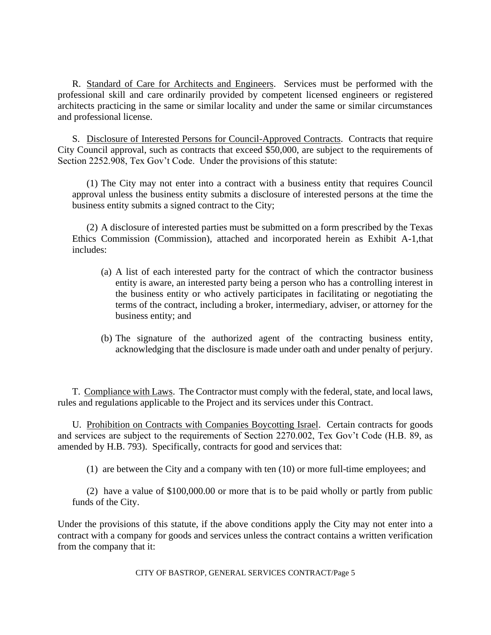R. Standard of Care for Architects and Engineers. Services must be performed with the professional skill and care ordinarily provided by competent licensed engineers or registered architects practicing in the same or similar locality and under the same or similar circumstances and professional license.

S. Disclosure of Interested Persons for Council-Approved Contracts. Contracts that require City Council approval, such as contracts that exceed \$50,000, are subject to the requirements of Section 2252.908, Tex Gov't Code. Under the provisions of this statute:

(1) The City may not enter into a contract with a business entity that requires Council approval unless the business entity submits a disclosure of interested persons at the time the business entity submits a signed contract to the City;

(2) A disclosure of interested parties must be submitted on a form prescribed by the Texas Ethics Commission (Commission), attached and incorporated herein as Exhibit A-1,that includes:

- (a) A list of each interested party for the contract of which the contractor business entity is aware, an interested party being a person who has a controlling interest in the business entity or who actively participates in facilitating or negotiating the terms of the contract, including a broker, intermediary, adviser, or attorney for the business entity; and
- (b) The signature of the authorized agent of the contracting business entity, acknowledging that the disclosure is made under oath and under penalty of perjury.

T. Compliance with Laws. The Contractor must comply with the federal, state, and local laws, rules and regulations applicable to the Project and its services under this Contract.

U. Prohibition on Contracts with Companies Boycotting Israel. Certain contracts for goods and services are subject to the requirements of Section 2270.002, Tex Gov't Code (H.B. 89, as amended by H.B. 793). Specifically, contracts for good and services that:

(1) are between the City and a company with ten (10) or more full-time employees; and

(2) have a value of \$100,000.00 or more that is to be paid wholly or partly from public funds of the City.

Under the provisions of this statute, if the above conditions apply the City may not enter into a contract with a company for goods and services unless the contract contains a written verification from the company that it: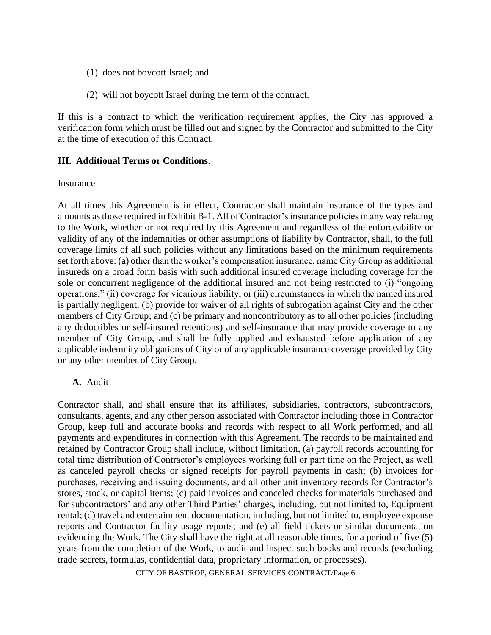- (1) does not boycott Israel; and
- (2) will not boycott Israel during the term of the contract.

If this is a contract to which the verification requirement applies, the City has approved a verification form which must be filled out and signed by the Contractor and submitted to the City at the time of execution of this Contract.

#### **III. Additional Terms or Conditions**.

#### Insurance

At all times this Agreement is in effect, Contractor shall maintain insurance of the types and amounts as those required in Exhibit B-1. All of Contractor's insurance policies in any way relating to the Work, whether or not required by this Agreement and regardless of the enforceability or validity of any of the indemnities or other assumptions of liability by Contractor, shall, to the full coverage limits of all such policies without any limitations based on the minimum requirements set forth above: (a) other than the worker's compensation insurance, name City Group as additional insureds on a broad form basis with such additional insured coverage including coverage for the sole or concurrent negligence of the additional insured and not being restricted to (i) "ongoing operations," (ii) coverage for vicarious liability, or (iii) circumstances in which the named insured is partially negligent; (b) provide for waiver of all rights of subrogation against City and the other members of City Group; and (c) be primary and noncontributory as to all other policies (including any deductibles or self-insured retentions) and self-insurance that may provide coverage to any member of City Group, and shall be fully applied and exhausted before application of any applicable indemnity obligations of City or of any applicable insurance coverage provided by City or any other member of City Group.

#### **A.** Audit

Contractor shall, and shall ensure that its affiliates, subsidiaries, contractors, subcontractors, consultants, agents, and any other person associated with Contractor including those in Contractor Group, keep full and accurate books and records with respect to all Work performed, and all payments and expenditures in connection with this Agreement. The records to be maintained and retained by Contractor Group shall include, without limitation, (a) payroll records accounting for total time distribution of Contractor's employees working full or part time on the Project, as well as canceled payroll checks or signed receipts for payroll payments in cash; (b) invoices for purchases, receiving and issuing documents, and all other unit inventory records for Contractor's stores, stock, or capital items; (c) paid invoices and canceled checks for materials purchased and for subcontractors' and any other Third Parties' charges, including, but not limited to, Equipment rental; (d) travel and entertainment documentation, including, but not limited to, employee expense reports and Contractor facility usage reports; and (e) all field tickets or similar documentation evidencing the Work. The City shall have the right at all reasonable times, for a period of five (5) years from the completion of the Work, to audit and inspect such books and records (excluding trade secrets, formulas, confidential data, proprietary information, or processes).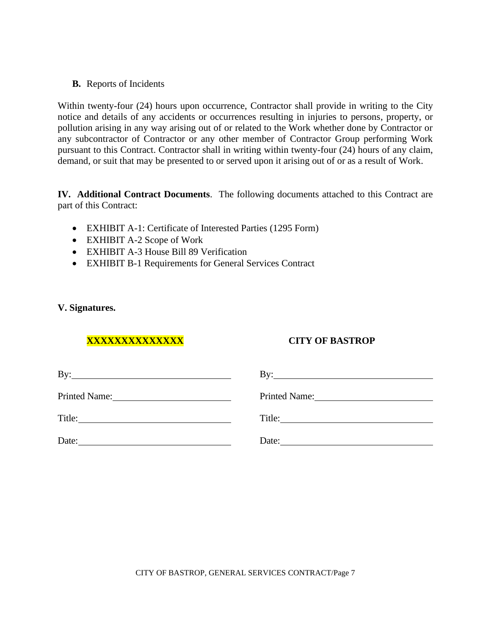**B.** Reports of Incidents

Within twenty-four (24) hours upon occurrence, Contractor shall provide in writing to the City notice and details of any accidents or occurrences resulting in injuries to persons, property, or pollution arising in any way arising out of or related to the Work whether done by Contractor or any subcontractor of Contractor or any other member of Contractor Group performing Work pursuant to this Contract. Contractor shall in writing within twenty-four (24) hours of any claim, demand, or suit that may be presented to or served upon it arising out of or as a result of Work.

**IV. Additional Contract Documents**. The following documents attached to this Contract are part of this Contract:

- EXHIBIT A-1: Certificate of Interested Parties (1295 Form)
- EXHIBIT A-2 Scope of Work
- EXHIBIT A-3 House Bill 89 Verification
- EXHIBIT B-1 Requirements for General Services Contract

#### **V. Signatures.**

# **XXXXXXXXXXXXXX CITY OF BASTROP**

| $\mathbf{By:}$ | By: $\qquad \qquad$                                                                                                            |
|----------------|--------------------------------------------------------------------------------------------------------------------------------|
|                | Printed Name: 2008. [19] Printed Name:                                                                                         |
| Title:         |                                                                                                                                |
| Date:          | Date:<br><u> 1989 - Johann Harry Harry Harry Harry Harry Harry Harry Harry Harry Harry Harry Harry Harry Harry Harry Harry</u> |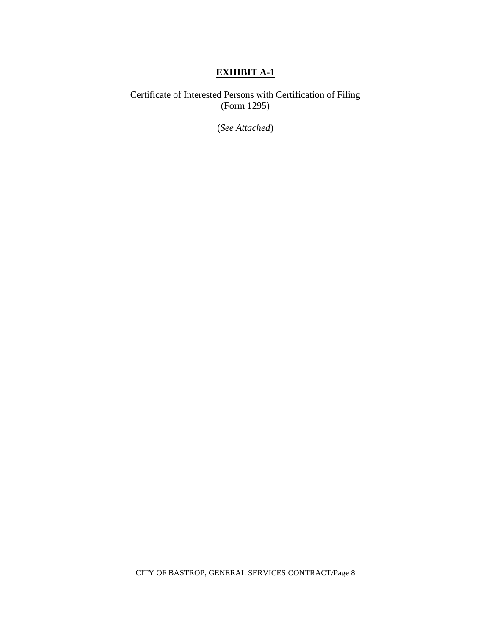## **EXHIBIT A-1**

Certificate of Interested Persons with Certification of Filing (Form 1295)

(*See Attached*)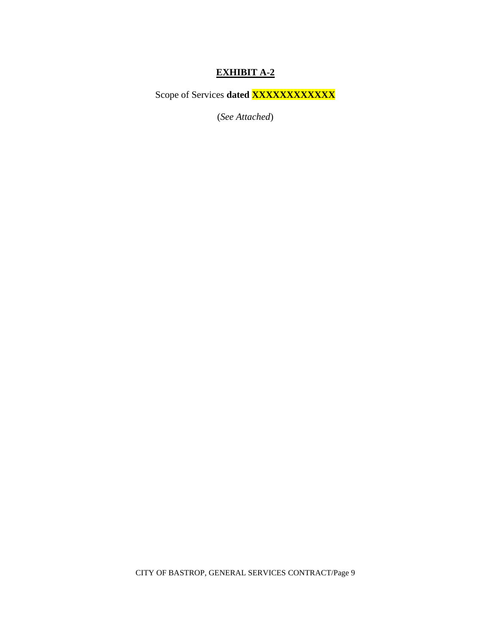# **EXHIBIT A-2**

Scope of Services dated **XXXXXXXXXXX** 

(*See Attached*)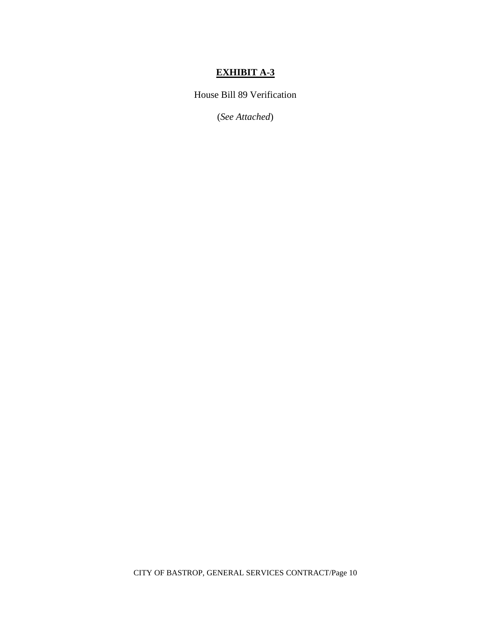# **EXHIBIT A-3**

House Bill 89 Verification

(*See Attached*)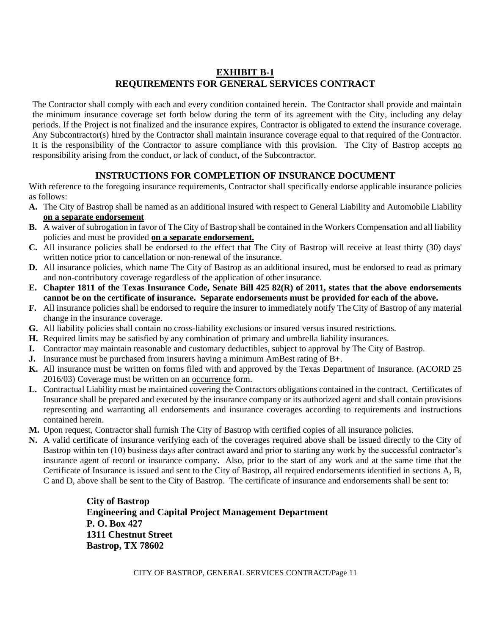## **EXHIBIT B-1 REQUIREMENTS FOR GENERAL SERVICES CONTRACT**

The Contractor shall comply with each and every condition contained herein. The Contractor shall provide and maintain the minimum insurance coverage set forth below during the term of its agreement with the City, including any delay periods. If the Project is not finalized and the insurance expires, Contractor is obligated to extend the insurance coverage. Any Subcontractor(s) hired by the Contractor shall maintain insurance coverage equal to that required of the Contractor. It is the responsibility of the Contractor to assure compliance with this provision. The City of Bastrop accepts no responsibility arising from the conduct, or lack of conduct, of the Subcontractor.

## **INSTRUCTIONS FOR COMPLETION OF INSURANCE DOCUMENT**

With reference to the foregoing insurance requirements, Contractor shall specifically endorse applicable insurance policies as follows:

- **A.** The City of Bastrop shall be named as an additional insured with respect to General Liability and Automobile Liability **on a separate endorsement**
- **B.** A waiver of subrogation in favor of The City of Bastrop shall be contained in the Workers Compensation and all liability policies and must be provided **on a separate endorsement.**
- **C.** All insurance policies shall be endorsed to the effect that The City of Bastrop will receive at least thirty (30) days' written notice prior to cancellation or non-renewal of the insurance.
- **D.** All insurance policies, which name The City of Bastrop as an additional insured, must be endorsed to read as primary and non-contributory coverage regardless of the application of other insurance.
- **E. Chapter 1811 of the Texas Insurance Code, Senate Bill 425 82(R) of 2011, states that the above endorsements cannot be on the certificate of insurance. Separate endorsements must be provided for each of the above.**
- **F.** All insurance policies shall be endorsed to require the insurer to immediately notify The City of Bastrop of any material change in the insurance coverage.
- **G.** All liability policies shall contain no cross-liability exclusions or insured versus insured restrictions.
- **H.** Required limits may be satisfied by any combination of primary and umbrella liability insurances.
- **I.** Contractor may maintain reasonable and customary deductibles, subject to approval by The City of Bastrop.
- **J.** Insurance must be purchased from insurers having a minimum AmBest rating of B+.
- **K.** All insurance must be written on forms filed with and approved by the Texas Department of Insurance. (ACORD 25 2016/03) Coverage must be written on an occurrence form.
- **L.** Contractual Liability must be maintained covering the Contractors obligations contained in the contract. Certificates of Insurance shall be prepared and executed by the insurance company or its authorized agent and shall contain provisions representing and warranting all endorsements and insurance coverages according to requirements and instructions contained herein.
- **M.** Upon request, Contractor shall furnish The City of Bastrop with certified copies of all insurance policies.
- **N.** A valid certificate of insurance verifying each of the coverages required above shall be issued directly to the City of Bastrop within ten (10) business days after contract award and prior to starting any work by the successful contractor's insurance agent of record or insurance company. Also, prior to the start of any work and at the same time that the Certificate of Insurance is issued and sent to the City of Bastrop, all required endorsements identified in sections A, B, C and D, above shall be sent to the City of Bastrop. The certificate of insurance and endorsements shall be sent to:

**City of Bastrop Engineering and Capital Project Management Department P. O. Box 427 1311 Chestnut Street Bastrop, TX 78602**